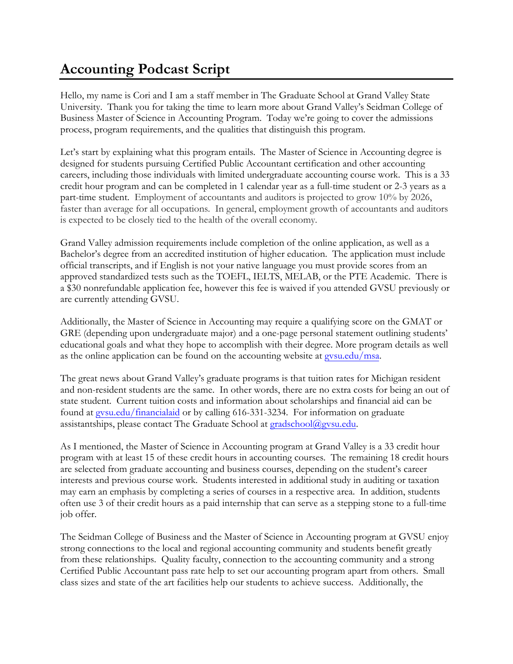## **Accounting Podcast Script**

Hello, my name is Cori and I am a staff member in The Graduate School at Grand Valley State University. Thank you for taking the time to learn more about Grand Valley's Seidman College of Business Master of Science in Accounting Program. Today we're going to cover the admissions process, program requirements, and the qualities that distinguish this program.

Let's start by explaining what this program entails. The Master of Science in Accounting degree is designed for students pursuing Certified Public Accountant certification and other accounting careers, including those individuals with limited undergraduate accounting course work. This is a 33 credit hour program and can be completed in 1 calendar year as a full-time student or 2-3 years as a part-time student. Employment of accountants and auditors is projected to grow 10% by 2026, faster than average for all occupations. In general, employment growth of accountants and auditors is expected to be closely tied to the health of the overall economy.

Grand Valley admission requirements include completion of the online application, as well as a Bachelor's degree from an accredited institution of higher education. The application must include official transcripts, and if English is not your native language you must provide scores from an approved standardized tests such as the TOEFL, IELTS, MELAB, or the PTE Academic. There is a \$30 nonrefundable application fee, however this fee is waived if you attended GVSU previously or are currently attending GVSU.

Additionally, the Master of Science in Accounting may require a qualifying score on the GMAT or GRE (depending upon undergraduate major) and a one-page personal statement outlining students' educational goals and what they hope to accomplish with their degree. More program details as well as the online application can be found on the accounting website at [gvsu.edu/msa.](http://www.gvsu.edu/msa)

The great news about Grand Valley's graduate programs is that tuition rates for Michigan resident and non-resident students are the same. In other words, there are no extra costs for being an out of state student. Current tuition costs and information about scholarships and financial aid can be found at [gvsu.edu/financialaid](http://www.gvsu.edu/financialaid) or by calling 616-331-3234. For information on graduate assistantships, please contact The Graduate School at [gradschool@gvsu.edu.](mailto:gradschool@gvsu.edu) 

As I mentioned, the Master of Science in Accounting program at Grand Valley is a 33 credit hour program with at least 15 of these credit hours in accounting courses. The remaining 18 credit hours are selected from graduate accounting and business courses, depending on the student's career interests and previous course work. Students interested in additional study in auditing or taxation may earn an emphasis by completing a series of courses in a respective area. In addition, students often use 3 of their credit hours as a paid internship that can serve as a stepping stone to a full-time job offer.

The Seidman College of Business and the Master of Science in Accounting program at GVSU enjoy strong connections to the local and regional accounting community and students benefit greatly from these relationships. Quality faculty, connection to the accounting community and a strong Certified Public Accountant pass rate help to set our accounting program apart from others. Small class sizes and state of the art facilities help our students to achieve success. Additionally, the